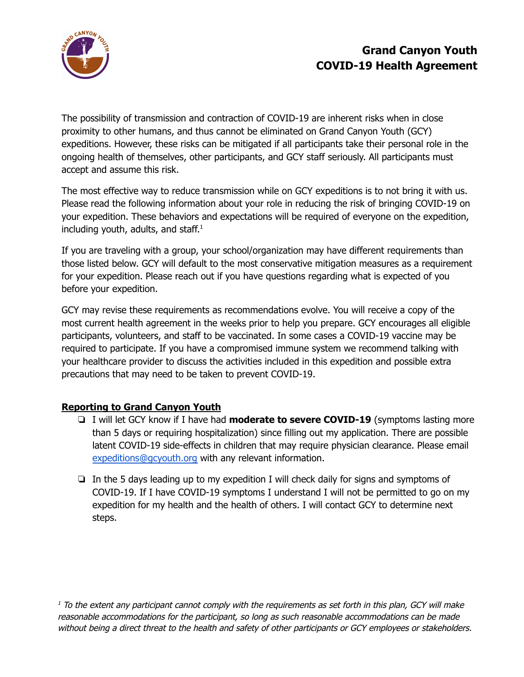

# **Grand Canyon Youth COVID-19 Health Agreement**

The possibility of transmission and contraction of COVID-19 are inherent risks when in close proximity to other humans, and thus cannot be eliminated on Grand Canyon Youth (GCY) expeditions. However, these risks can be mitigated if all participants take their personal role in the ongoing health of themselves, other participants, and GCY staff seriously. All participants must accept and assume this risk.

The most effective way to reduce transmission while on GCY expeditions is to not bring it with us. Please read the following information about your role in reducing the risk of bringing COVID-19 on your expedition. These behaviors and expectations will be required of everyone on the expedition, including youth, adults, and staff. 1

If you are traveling with a group, your school/organization may have different requirements than those listed below. GCY will default to the most conservative mitigation measures as a requirement for your expedition. Please reach out if you have questions regarding what is expected of you before your expedition.

GCY may revise these requirements as recommendations evolve. You will receive a copy of the most current health agreement in the weeks prior to help you prepare. GCY encourages all eligible participants, volunteers, and staff to be vaccinated. In some cases a COVID-19 vaccine may be required to participate. If you have a compromised immune system we recommend talking with your healthcare provider to discuss the activities included in this expedition and possible extra precautions that may need to be taken to prevent COVID-19.

# **Reporting to Grand Canyon Youth**

- ❏ I will let GCY know if I have had **moderate to severe COVID-19** (symptoms lasting more than 5 days or requiring hospitalization) since filling out my application. There are possible latent COVID-19 side-effects in children that may require physician clearance. Please email [expeditions@gcyouth.org](mailto:expeditions@gcyouth.org) with any relevant information.
- ❏ In the 5 days leading up to my expedition I will check daily for signs and symptoms of COVID-19. If I have COVID-19 symptoms I understand I will not be permitted to go on my expedition for my health and the health of others. I will contact GCY to determine next steps.

 $<sup>1</sup>$  To the extent any participant cannot comply with the requirements as set forth in this plan, GCY will make</sup> reasonable accommodations for the participant, so long as such reasonable accommodations can be made without being <sup>a</sup> direct threat to the health and safety of other participants or GCY employees or stakeholders.